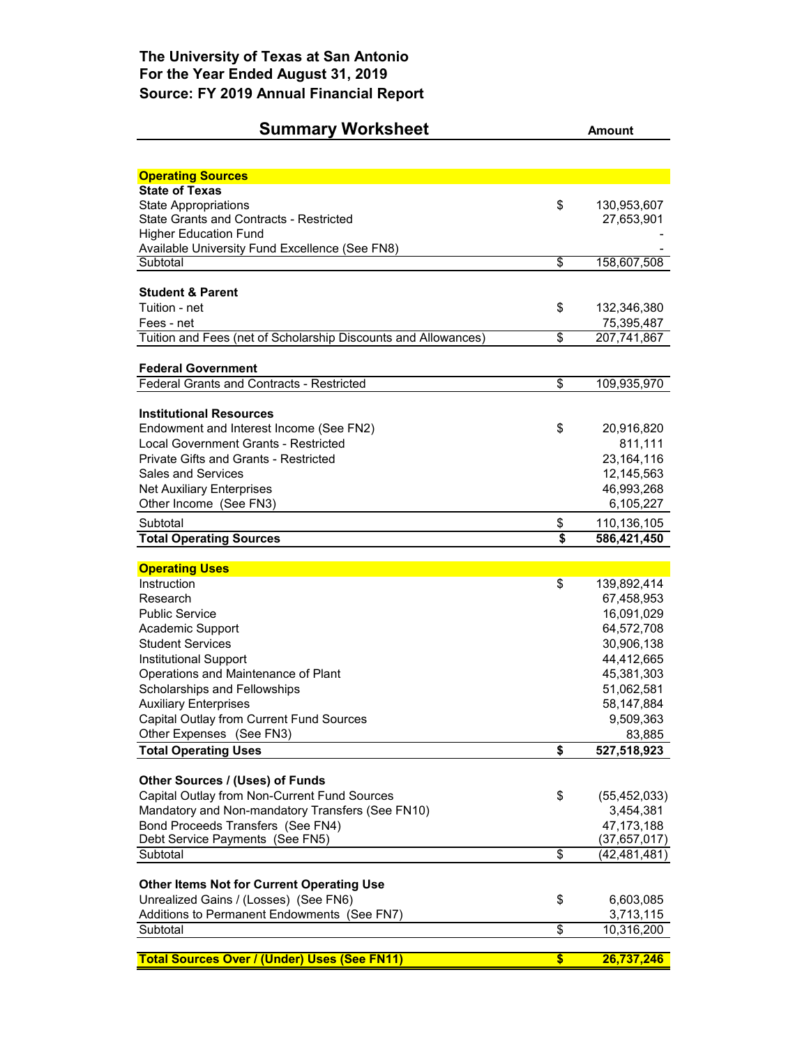## **Summary Worksheet Amount**

| <b>Operating Sources</b>                                       |                         |                   |
|----------------------------------------------------------------|-------------------------|-------------------|
| <b>State of Texas</b>                                          |                         |                   |
| State Appropriations                                           | \$                      | 130,953,607       |
| <b>State Grants and Contracts - Restricted</b>                 |                         | 27,653,901        |
| <b>Higher Education Fund</b>                                   |                         |                   |
| Available University Fund Excellence (See FN8)                 |                         |                   |
| Subtotal                                                       | \$                      | 158,607,508       |
| Student & Parent                                               |                         |                   |
| Tuition - net                                                  | \$                      | 132,346,380       |
| Fees - net                                                     |                         | 75,395,487        |
| Tuition and Fees (net of Scholarship Discounts and Allowances) | \$                      | 207,741,867       |
|                                                                |                         |                   |
| <b>Federal Government</b>                                      |                         |                   |
| <b>Federal Grants and Contracts - Restricted</b>               | \$                      | 109,935,970       |
|                                                                |                         |                   |
| <b>Institutional Resources</b>                                 |                         |                   |
| Endowment and Interest Income (See FN2)                        | \$                      | 20,916,820        |
| Local Government Grants - Restricted                           |                         | 811,111           |
| <b>Private Gifts and Grants - Restricted</b>                   |                         | 23,164,116        |
| <b>Sales and Services</b>                                      |                         | 12,145,563        |
| <b>Net Auxiliary Enterprises</b>                               |                         | 46,993,268        |
| Other Income (See FN3)                                         |                         | 6,105,227         |
| Subtotal                                                       | \$                      | 110,136,105       |
| <b>Total Operating Sources</b>                                 | \$                      | 586,421,450       |
| <b>Operating Uses</b>                                          |                         |                   |
| Instruction                                                    | \$                      | 139,892,414       |
| Research                                                       |                         | 67,458,953        |
| <b>Public Service</b>                                          |                         | 16,091,029        |
| Academic Support                                               |                         | 64,572,708        |
| <b>Student Services</b>                                        |                         | 30,906,138        |
| Institutional Support                                          |                         | 44,412,665        |
| Operations and Maintenance of Plant                            |                         | 45,381,303        |
| Scholarships and Fellowships                                   |                         | 51,062,581        |
| <b>Auxiliary Enterprises</b>                                   |                         | 58,147,884        |
| Capital Outlay from Current Fund Sources                       |                         | 9,509,363         |
| Other Expenses (See FN3)                                       |                         | 83,885            |
| <b>Total Operating Uses</b>                                    | \$                      | 527,518,923       |
|                                                                |                         |                   |
| Other Sources / (Uses) of Funds                                |                         |                   |
| Capital Outlay from Non-Current Fund Sources                   | \$                      | (55, 452, 033)    |
| Mandatory and Non-mandatory Transfers (See FN10)               |                         | 3,454,381         |
| Bond Proceeds Transfers (See FN4)                              |                         | 47, 173, 188      |
| Debt Service Payments (See FN5)                                |                         | (37,657,017)      |
| Subtotal                                                       | \$                      | (42,481,481)      |
|                                                                |                         |                   |
| <b>Other Items Not for Current Operating Use</b>               |                         |                   |
| Unrealized Gains / (Losses) (See FN6)                          | \$                      | 6,603,085         |
| Additions to Permanent Endowments (See FN7)                    | $\overline{\mathbf{s}}$ | 3,713,115         |
| Subtotal                                                       |                         | 10,316,200        |
| <b>Total Sources Over / (Under) Uses (See FN11)</b>            | \$                      | <u>26,737,246</u> |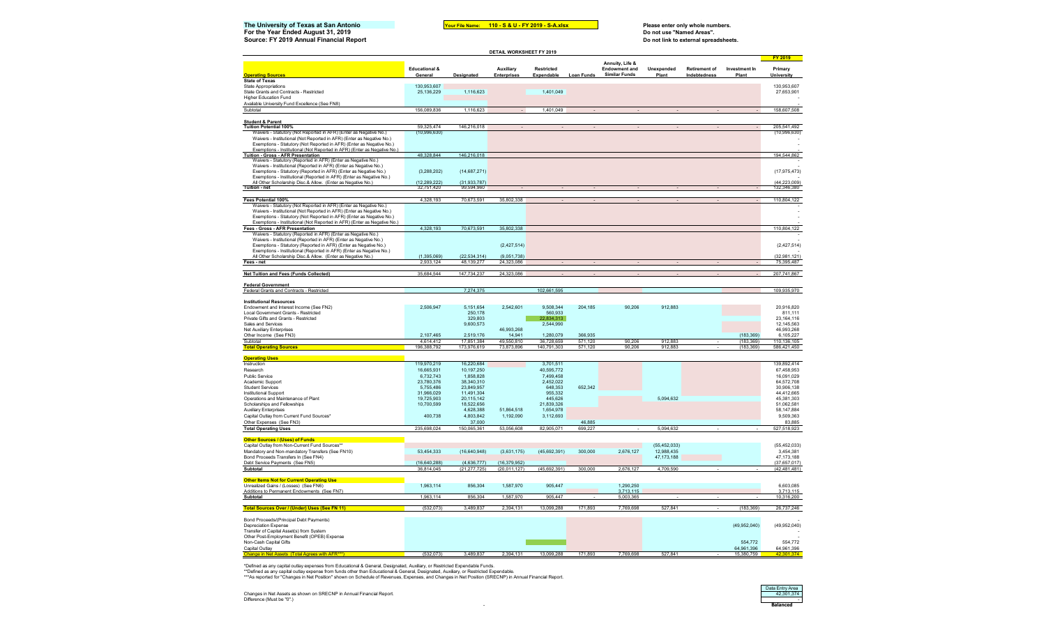## 3 5 6 8 9 0 **110 - S & U - FY 2019 - S-A.xlsx**The University of Texas at San Antonio *Your File Name***: 110 - S& U - FY 2019 - S-A.xlsx** Please enter only whole numbers.<br>For the Year Ended August 31, 2019

**Source: FY 2019 Annual Financial Report** 

**For the Year Ended August 31, 2019**<br> **For the Year Ended August 31, 2019**<br> **Source: FY 2019 Annual Financial Report** 

|                                                                                                                                                                                                                                                                                                |                                     |                              | <b>DETAIL WORKSHEET FY 2019</b> |                                 |                   |                                                                 |                     |                                      |                        |                                         |
|------------------------------------------------------------------------------------------------------------------------------------------------------------------------------------------------------------------------------------------------------------------------------------------------|-------------------------------------|------------------------------|---------------------------------|---------------------------------|-------------------|-----------------------------------------------------------------|---------------------|--------------------------------------|------------------------|-----------------------------------------|
| <b>Operating Sources</b>                                                                                                                                                                                                                                                                       | <b>Educational &amp;</b><br>General | Designated                   | <b>Auxiliary</b><br>Enterprises | <b>Restricted</b><br>Expendable | <b>Loan Funds</b> | Annuity, Life &<br><b>Endowment and</b><br><b>Similar Funds</b> | Unexpended<br>Plant | <b>Retirement of</b><br>Indebtedness | Investment In<br>Plant | <b>FY 2019</b><br>Primary<br>University |
| <b>State of Texas</b>                                                                                                                                                                                                                                                                          |                                     |                              |                                 |                                 |                   |                                                                 |                     |                                      |                        |                                         |
| State Appropriations                                                                                                                                                                                                                                                                           | 130,953,607                         |                              |                                 |                                 |                   |                                                                 |                     |                                      |                        | 130,953,607                             |
| State Grants and Contracts - Restricted                                                                                                                                                                                                                                                        | 25,136,229                          | 1,116,623                    |                                 | 1,401,049                       |                   |                                                                 |                     |                                      |                        | 27,653,901                              |
| <b>Higher Education Fund</b>                                                                                                                                                                                                                                                                   |                                     |                              |                                 |                                 |                   |                                                                 |                     |                                      |                        |                                         |
| Available University Fund Excellence (See FN8)                                                                                                                                                                                                                                                 |                                     |                              |                                 |                                 |                   |                                                                 |                     |                                      |                        |                                         |
| Subtotal                                                                                                                                                                                                                                                                                       | 156,089,836                         | 1,116,623                    |                                 | 1,401,049                       |                   |                                                                 |                     |                                      |                        | 158,607,508                             |
| <b>Student &amp; Parent</b>                                                                                                                                                                                                                                                                    |                                     |                              |                                 |                                 |                   |                                                                 |                     |                                      |                        |                                         |
| Tuition Potential 100%                                                                                                                                                                                                                                                                         | 59,325,474                          | 146,216,018                  |                                 |                                 |                   |                                                                 |                     |                                      |                        | 205,541,492                             |
| Waivers - Statutory (Not Reported in AFR) (Enter as Negative No.)                                                                                                                                                                                                                              | (10,996,630)                        |                              |                                 |                                 |                   |                                                                 |                     |                                      |                        | (10,996,630)                            |
| Waivers - Institutional (Not Reported in AFR) (Enter as Negative No.)                                                                                                                                                                                                                          |                                     |                              |                                 |                                 |                   |                                                                 |                     |                                      |                        |                                         |
| Exemptions - Statutory (Not Reported in AFR) (Enter as Negative No.)                                                                                                                                                                                                                           |                                     |                              |                                 |                                 |                   |                                                                 |                     |                                      |                        |                                         |
| Exemptions - Institutional (Not Reported in AFR) (Enter as Negative No.)                                                                                                                                                                                                                       |                                     |                              |                                 |                                 |                   |                                                                 |                     |                                      |                        |                                         |
| <b>Tuition - Gross - AFR Presentation</b>                                                                                                                                                                                                                                                      | 48,328,844                          | 146,216,018                  |                                 |                                 |                   |                                                                 |                     |                                      |                        | 194 544 862                             |
| Waivers - Statutory (Reported in AFR) (Enter as Negative No.)<br>Waivers - Institutional (Reported in AFR) (Enter as Negative No.)                                                                                                                                                             |                                     |                              |                                 |                                 |                   |                                                                 |                     |                                      |                        |                                         |
| Exemptions - Statutory (Reported in AFR) (Enter as Negative No.)                                                                                                                                                                                                                               | (3,288,202)                         | (14,687,271)                 |                                 |                                 |                   |                                                                 |                     |                                      |                        | (17, 975, 473)                          |
| Exemptions - Institutional (Reported in AFR) (Enter as Negative No.)                                                                                                                                                                                                                           |                                     |                              |                                 |                                 |                   |                                                                 |                     |                                      |                        |                                         |
| All Other Scholarship Disc.& Allow. (Enter as Negative No.)                                                                                                                                                                                                                                    | (12, 289, 222)                      | (31, 933, 787)               |                                 |                                 |                   |                                                                 |                     |                                      |                        | (44, 223, 009)                          |
| Tuition - net                                                                                                                                                                                                                                                                                  | 32 751 420                          | 99 594 960                   |                                 |                                 |                   |                                                                 |                     |                                      |                        | 132 346 380                             |
|                                                                                                                                                                                                                                                                                                |                                     |                              |                                 |                                 |                   |                                                                 |                     |                                      |                        |                                         |
| Fees Potential 100%                                                                                                                                                                                                                                                                            | 4,328,193                           | 70,673,591                   | 35,802,338                      |                                 |                   |                                                                 |                     |                                      |                        | 110,804,122                             |
| Waivers - Statutory (Not Reported in AFR) (Enter as Negative No.)<br>Waivers - Institutional (Not Reported in AFR) (Enter as Negative No.)<br>Exemptions - Statutory (Not Reported in AFR) (Enter as Negative No.)<br>Exemptions - Institutional (Not Reported in AFR) (Enter as Negative No.) |                                     |                              |                                 |                                 |                   |                                                                 |                     |                                      |                        |                                         |
| Fees - Gross - AFR Presentation                                                                                                                                                                                                                                                                | 4,328,193                           | 70,673,591                   | 35,802,338                      |                                 |                   |                                                                 |                     |                                      |                        | 110,804,122                             |
| Waivers - Statutory (Reported in AFR) (Enter as Negative No.)                                                                                                                                                                                                                                  |                                     |                              |                                 |                                 |                   |                                                                 |                     |                                      |                        |                                         |
| Waivers - Institutional (Reported in AFR) (Enter as Negative No.)                                                                                                                                                                                                                              |                                     |                              |                                 |                                 |                   |                                                                 |                     |                                      |                        |                                         |
| Exemptions - Statutory (Reported in AFR) (Enter as Negative No.)                                                                                                                                                                                                                               |                                     |                              | (2, 427, 514)                   |                                 |                   |                                                                 |                     |                                      |                        | (2, 427, 514)                           |
| Exemptions - Institutional (Reported in AFR) (Enter as Negative No.)                                                                                                                                                                                                                           |                                     |                              |                                 |                                 |                   |                                                                 |                     |                                      |                        |                                         |
| All Other Scholarship Disc.& Allow. (Enter as Negative No.)<br>Fees - net                                                                                                                                                                                                                      | (1, 395, 069)<br>2.933.124          | (22, 534, 314)<br>48.139.277 | (9,051,738)<br>24.323.086       |                                 |                   |                                                                 |                     |                                      |                        | (32, 981, 121)<br>75 395 487            |
|                                                                                                                                                                                                                                                                                                |                                     |                              |                                 |                                 |                   |                                                                 |                     |                                      |                        |                                         |
| Net Tuition and Fees (Funds Collected)                                                                                                                                                                                                                                                         | 35,684,544                          | 147,734,237                  | 24,323,086                      |                                 |                   |                                                                 |                     |                                      |                        | 207,741,867                             |
|                                                                                                                                                                                                                                                                                                |                                     |                              |                                 |                                 |                   |                                                                 |                     |                                      |                        |                                         |
| <b>Federal Government</b>                                                                                                                                                                                                                                                                      |                                     |                              |                                 |                                 |                   |                                                                 |                     |                                      |                        |                                         |
| Federal Grants and Contracts - Restricted                                                                                                                                                                                                                                                      |                                     | 7,274,375                    |                                 | 102,661,595                     |                   |                                                                 |                     |                                      |                        | 109,935,970                             |
| <b>Institutional Resources</b>                                                                                                                                                                                                                                                                 |                                     |                              |                                 |                                 |                   |                                                                 |                     |                                      |                        |                                         |
| Endowment and Interest Income (See FN2)                                                                                                                                                                                                                                                        | 2,506,947                           | 5,151,654                    | 2,542,601                       | 9,508,344                       | 204,185           | 90,206                                                          | 912,883             |                                      |                        | 20,916,820                              |
| Local Government Grants - Restricted                                                                                                                                                                                                                                                           |                                     | 250,178                      |                                 | 560,933                         |                   |                                                                 |                     |                                      |                        | 811,111                                 |
| Private Gifts and Grants - Restricted                                                                                                                                                                                                                                                          |                                     | 329,803                      |                                 | 22.834.313                      |                   |                                                                 |                     |                                      |                        | 23, 164, 116                            |
| Sales and Services                                                                                                                                                                                                                                                                             |                                     | 9,600,573                    |                                 | 2.544.990                       |                   |                                                                 |                     |                                      |                        | 12,145,563                              |
| Net Auxiliary Enterprises                                                                                                                                                                                                                                                                      | 2,107,465                           | 2,519,176                    | 46,993,268<br>14,941            | 1,280,079                       | 366,935           |                                                                 |                     |                                      | (183, 369)             | 46,993,268<br>6,105,227                 |
| Other Income (See FN3)                                                                                                                                                                                                                                                                         | 4,614,412                           | 17,851,384                   |                                 | 36,728,659                      | 571,120           |                                                                 | 912,883             |                                      | (183.369)              |                                         |
| Subtotal<br><b>Total Operating Sources</b>                                                                                                                                                                                                                                                     | 196 388 792                         | 173 976 619                  | 49,550,810<br>73 873 896        | 140 791 303                     | 571.120           | 90,206<br>90.206                                                | 912 883             |                                      | (183, 369)             | 110,136,105<br>586,421,450              |
|                                                                                                                                                                                                                                                                                                |                                     |                              |                                 |                                 |                   |                                                                 |                     |                                      |                        |                                         |
| <b>Operating</b>                                                                                                                                                                                                                                                                               |                                     |                              |                                 |                                 |                   |                                                                 |                     |                                      |                        |                                         |
| Instruction                                                                                                                                                                                                                                                                                    | 119,970,219                         | 16,220,684                   |                                 | 3,701,511                       |                   |                                                                 |                     |                                      |                        | 139,892,414                             |
| Research                                                                                                                                                                                                                                                                                       | 16,665,931                          | 10,197,250                   |                                 | 40.595.772                      |                   |                                                                 |                     |                                      |                        | 67.458.953                              |
| Public Service                                                                                                                                                                                                                                                                                 | 6,732,743                           | 1,858,828                    |                                 | 7,499,458                       |                   |                                                                 |                     |                                      |                        | 16,091,029                              |
| Academic Support                                                                                                                                                                                                                                                                               | 23,780,376                          | 38.340.310                   |                                 | 2.452.022                       |                   |                                                                 |                     |                                      |                        | 64.572.708                              |
| <b>Student Services</b>                                                                                                                                                                                                                                                                        | 5,755,486                           | 23,849,957                   |                                 | 648,353                         | 652,342           |                                                                 |                     |                                      |                        | 30,906,138                              |
| Institutional Support<br>Operations and Maintenance of Plant                                                                                                                                                                                                                                   | 31,966,029<br>19,725,903            | 11,491,304<br>20,115,142     |                                 | 955,332<br>445.626              |                   |                                                                 | 5,094,632           |                                      |                        | 44,412,665<br>45,381,303                |
| Scholarships and Fellowships                                                                                                                                                                                                                                                                   | 10,700,599                          | 18.522.656                   |                                 | 21,839,326                      |                   |                                                                 |                     |                                      |                        | 51.062.581                              |
| <b>Auxiliary Enterprises</b>                                                                                                                                                                                                                                                                   |                                     | 4,628,388                    | 51,864,518                      | 1,654,978                       |                   |                                                                 |                     |                                      |                        | 58,147,884                              |
| Capital Outlay from Current Fund Sources*                                                                                                                                                                                                                                                      | 400,738                             | 4,803,842                    | 1,192,090                       | 3,112,693                       |                   |                                                                 |                     |                                      |                        | 9,509,363                               |
| Other Expenses (See FN3)                                                                                                                                                                                                                                                                       |                                     | 37,000                       |                                 |                                 | 46,885            |                                                                 |                     |                                      |                        | 83,885                                  |
| <b>Total Operating Uses</b>                                                                                                                                                                                                                                                                    | 235,698,024                         | 150,065,361                  | 53,056,608                      | 82,905,071                      | 699,227           |                                                                 | 5,094,632           |                                      |                        | 527,518,923                             |
|                                                                                                                                                                                                                                                                                                |                                     |                              |                                 |                                 |                   |                                                                 |                     |                                      |                        |                                         |
| Other Sources / (Uses) of Funds                                                                                                                                                                                                                                                                |                                     |                              |                                 |                                 |                   |                                                                 |                     |                                      |                        |                                         |
| Capital Outlay from Non-Current Fund Sources*                                                                                                                                                                                                                                                  |                                     |                              |                                 |                                 |                   |                                                                 | (55, 452, 033)      |                                      |                        | (55, 452, 033)                          |
| Mandatory and Non-mandatory Transfers (See FN10)                                                                                                                                                                                                                                               | 53,454,333                          | (16, 640, 948)               | (3,631,175)                     | (45, 692, 391)                  | 300,000           | 2,676,127                                                       | 12,988,435          |                                      |                        | 3,454,381                               |
| Bond Proceeds Transfers In (See FN4)<br>Debt Service Payments (See FN5)                                                                                                                                                                                                                        | (16,640,288)                        | (4,636,777)                  | (16, 379, 952)                  |                                 |                   |                                                                 | 47, 173, 188        |                                      |                        | 47, 173, 188<br>(37.657.017)            |
| Subtotal                                                                                                                                                                                                                                                                                       | 36.814.045                          | (21.277.725)                 | (20.011.127)                    | (45,692,391)                    | 300,000           | 2.676.127                                                       | 4,709,590           |                                      |                        | (42.481.481)                            |
|                                                                                                                                                                                                                                                                                                |                                     |                              |                                 |                                 |                   |                                                                 |                     |                                      |                        |                                         |
| <b>Other Items Not for Current Operating Use</b>                                                                                                                                                                                                                                               |                                     |                              |                                 |                                 |                   |                                                                 |                     |                                      |                        |                                         |
| Unrealized Gains / (Losses) (See FN6)                                                                                                                                                                                                                                                          | 1,963,114                           | 856,304                      | 1.587.970                       | 905,447                         |                   | 1.290.250                                                       |                     |                                      |                        | 6.603.085                               |
| Additions to Permanent Endowments (See FN7)                                                                                                                                                                                                                                                    |                                     |                              |                                 |                                 |                   | 3,713,115                                                       |                     |                                      |                        | 3,713,115                               |
| Subtotal                                                                                                                                                                                                                                                                                       | 1,963,114                           | 856,304                      | 1.587.970                       | 905,447                         |                   | 5.003.365                                                       |                     |                                      |                        | 10,316,200                              |
| <b>Total Sources Over / (Under) Uses (See FN 11)</b>                                                                                                                                                                                                                                           | (532,073)                           | 3,489,837                    | 2,394,131                       | 13,099,288                      | 171,893           | 7,769,698                                                       | 527,841             |                                      | (183, 369)             | 26,737,246                              |
|                                                                                                                                                                                                                                                                                                |                                     |                              |                                 |                                 |                   |                                                                 |                     |                                      |                        |                                         |
| Bond Proceeds/(Principal Debt Payments)                                                                                                                                                                                                                                                        |                                     |                              |                                 |                                 |                   |                                                                 |                     |                                      |                        |                                         |
| <b>Depreciation Expense</b>                                                                                                                                                                                                                                                                    |                                     |                              |                                 |                                 |                   |                                                                 |                     |                                      | (49,952,040)           | (49,952,040)                            |
| Transfer of Capital Asset(s) from System<br>Other Post-Employment Benefit (OPEB) Expense                                                                                                                                                                                                       |                                     |                              |                                 |                                 |                   |                                                                 |                     |                                      |                        |                                         |
| Non-Cash Capital Gifts                                                                                                                                                                                                                                                                         |                                     |                              |                                 |                                 |                   |                                                                 |                     |                                      | 554.772                | 554,772                                 |
| Capital Outlay                                                                                                                                                                                                                                                                                 |                                     |                              |                                 |                                 |                   |                                                                 |                     |                                      | 64,961,396             | 64,961,396                              |
|                                                                                                                                                                                                                                                                                                | (532, 073)                          | 3.489.83                     | 2,394,131                       | 13,099,288                      | 171,893           | 7,769,698                                                       | 527,841             |                                      | 15.380.759             |                                         |

\*Defined as any capital outlay expenses from Educational & General, Designated, Auxiliary, or Restricted Expendable Funds.<br>\*\*Defined as any capital outlay expense from funds other than Educational & General, Designated, A

Changes in Net Assets as shown on SRECNP in Annual Financial Report.<br>Difference (Must be "0".) - 42,301,374<br>Difference (Must be "0".) - 42,301,374

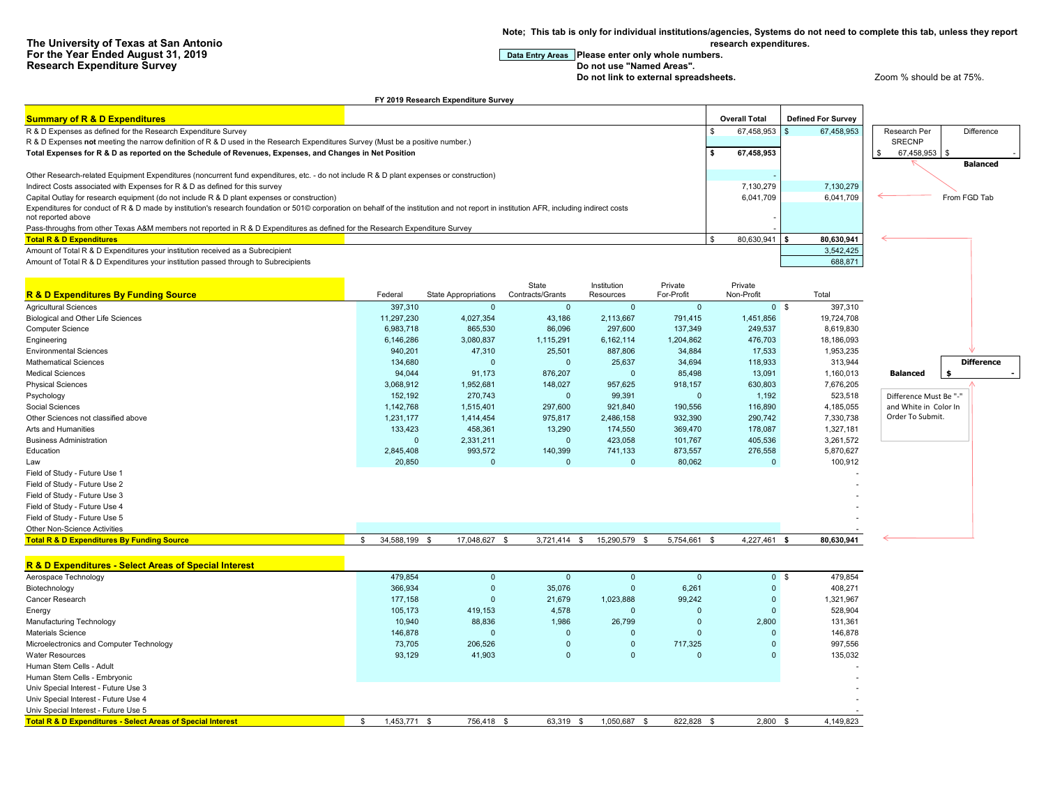**Note; This tab is only for individual institutions/agencies, Systems do not need to complete this tab, unless they report research expenditures.**

**For the Year Entry Areas** Please enter only whole numbers.<br>Do not use "Named Areas".

**Do not link to external spreadsheets. Let up a very spread of the 200 m**  $\alpha$  and  $\alpha$  at 75%.

| <b>Summary of R &amp; D Expenditures</b>                                                                                                                                                 |                            |                             |                  |                |                   | <b>Overall Total</b> | <b>Defined For Survey</b> |                        |                   |
|------------------------------------------------------------------------------------------------------------------------------------------------------------------------------------------|----------------------------|-----------------------------|------------------|----------------|-------------------|----------------------|---------------------------|------------------------|-------------------|
| R & D Expenses as defined for the Research Expenditure Survey                                                                                                                            |                            |                             |                  |                |                   | 67,458,953<br>\$.    | 67,458,953                | Research Per           | Difference        |
| R & D Expenses not meeting the narrow definition of R & D used in the Research Expenditures Survey (Must be a positive number.)                                                          |                            |                             |                  |                |                   |                      |                           | <b>SRECNP</b>          |                   |
| Total Expenses for R & D as reported on the Schedule of Revenues, Expenses, and Changes in Net Position                                                                                  |                            |                             |                  |                |                   | 67,458,953<br>\$     |                           | 67,458,953             |                   |
|                                                                                                                                                                                          |                            |                             |                  |                |                   |                      |                           |                        | <b>Balanced</b>   |
| Other Research-related Equipment Expenditures (noncurrent fund expenditures, etc. - do not include R & D plant expenses or construction)                                                 |                            |                             |                  |                |                   |                      |                           |                        |                   |
| Indirect Costs associated with Expenses for R & D as defined for this survey                                                                                                             |                            |                             |                  |                |                   | 7,130,279            | 7,130,279                 |                        |                   |
| Capital Outlay for research equipment (do not include R & D plant expenses or construction)                                                                                              |                            |                             |                  |                |                   | 6,041,709            | 6,041,709                 |                        | From FGD Tab      |
| Expenditures for conduct of R & D made by institution's research foundation or 501© corporation on behalf of the institution and not report in institution AFR, including indirect costs |                            |                             |                  |                |                   |                      |                           |                        |                   |
| not reported above                                                                                                                                                                       |                            |                             |                  |                |                   |                      |                           |                        |                   |
| Pass-throughs from other Texas A&M members not reported in R & D Expenditures as defined for the Research Expenditure Survey                                                             |                            |                             |                  |                |                   |                      |                           |                        |                   |
| <b>Total R &amp; D Expenditures</b>                                                                                                                                                      |                            |                             |                  |                |                   | 80,630,941           | 80,630,941                |                        |                   |
| Amount of Total R & D Expenditures your institution received as a Subrecipient                                                                                                           |                            |                             |                  |                |                   |                      | 3,542,425                 |                        |                   |
| Amount of Total R & D Expenditures your institution passed through to Subrecipients                                                                                                      |                            |                             |                  |                |                   |                      | 688,871                   |                        |                   |
|                                                                                                                                                                                          |                            |                             |                  |                |                   |                      |                           |                        |                   |
|                                                                                                                                                                                          |                            |                             | State            | Institution    | Private           | Private              |                           |                        |                   |
| <b>R &amp; D Expenditures By Funding Source</b>                                                                                                                                          | Federal                    | <b>State Appropriations</b> | Contracts/Grants | Resources      | For-Profit        | Non-Profit           | Total                     |                        |                   |
| <b>Agricultural Sciences</b>                                                                                                                                                             | 397,310                    | $\Omega$                    | $\mathbf{0}$     | $\mathbf{0}$   | $\mathbf 0$       |                      | 0 <sup>5</sup><br>397,310 |                        |                   |
| <b>Biological and Other Life Sciences</b>                                                                                                                                                | 11.297.230                 | 4,027,354                   | 43,186           | 2,113,667      | 791,415           | 1,451,856            | 19,724,708                |                        |                   |
| <b>Computer Science</b>                                                                                                                                                                  | 6,983,718                  | 865,530                     | 86,096           | 297,600        | 137,349           | 249,537              | 8,619,830                 |                        |                   |
| Engineering                                                                                                                                                                              | 6,146,286                  | 3,080,837                   | 1,115,291        | 6,162,114      | 1,204,862         | 476,703              | 18,186,093                |                        |                   |
| <b>Environmental Sciences</b>                                                                                                                                                            | 940,201                    | 47,310                      | 25,501           | 887,806        | 34,884            | 17,533               | 1,953,235                 |                        |                   |
| <b>Mathematical Sciences</b>                                                                                                                                                             | 134,680                    | $\Omega$                    | $\Omega$         | 25,637         | 34,694            | 118,933              | 313,944                   |                        | <b>Difference</b> |
| <b>Medical Sciences</b>                                                                                                                                                                  | 94,044                     | 91,173                      | 876,207          | $\Omega$       | 85,498            | 13,091               | 1,160,013                 | <b>Balanced</b>        |                   |
| <b>Physical Sciences</b>                                                                                                                                                                 | 3,068,912                  | 1,952,681                   | 148,027          | 957,625        | 918,157           | 630,803              | 7,676,205                 |                        |                   |
| Psychology                                                                                                                                                                               | 152,192                    | 270,743                     | $\mathbf{0}$     | 99,391         | $\Omega$          | 1,192                | 523,518                   | Difference Must Be "-" |                   |
| Social Sciences                                                                                                                                                                          | 1,142,768                  | 1,515,401                   | 297,600          | 921,840        | 190,556           | 116,890              | 4,185,055                 | and White in Color In  |                   |
| Other Sciences not classified above                                                                                                                                                      | 1,231,177                  | 1,414,454                   | 975,817          | 2,486,158      | 932,390           | 290,742              | 7,330,738                 | Order To Submit.       |                   |
| Arts and Humanities                                                                                                                                                                      | 133,423                    | 458,361                     | 13,290           | 174,550        | 369,470           | 178,087              | 1,327,181                 |                        |                   |
| <b>Business Administration</b>                                                                                                                                                           | $\overline{0}$             | 2,331,211                   | $\mathbf{0}$     | 423,058        | 101,767           | 405,536              | 3,261,572                 |                        |                   |
| Education                                                                                                                                                                                | 2,845,408                  | 993,572                     | 140,399          | 741,133        | 873,557           | 276,558              | 5,870,627                 |                        |                   |
| Law                                                                                                                                                                                      | 20,850                     | $\Omega$                    | $\Omega$         | $\Omega$       | 80,062            | $\mathbf 0$          | 100,912                   |                        |                   |
| Field of Study - Future Use 1                                                                                                                                                            |                            |                             |                  |                |                   |                      |                           |                        |                   |
| Field of Study - Future Use 2                                                                                                                                                            |                            |                             |                  |                |                   |                      |                           |                        |                   |
| Field of Study - Future Use 3                                                                                                                                                            |                            |                             |                  |                |                   |                      |                           |                        |                   |
| Field of Study - Future Use 4                                                                                                                                                            |                            |                             |                  |                |                   |                      |                           |                        |                   |
| Field of Study - Future Use 5                                                                                                                                                            |                            |                             |                  |                |                   |                      |                           |                        |                   |
| Other Non-Science Activities                                                                                                                                                             |                            |                             |                  |                |                   |                      |                           |                        |                   |
| <b>Total R &amp; D Expenditures By Funding Source</b>                                                                                                                                    | $\mathbf{s}$<br>34,588,199 | 17,048,627                  | 3,721,414<br>\$, | 15,290,579     | 5,754,661<br>- \$ | 4,227,461            | 80,630,941<br><b>S</b>    |                        |                   |
| R & D Expenditures - Select Areas of Special Interest                                                                                                                                    |                            |                             |                  |                |                   |                      |                           |                        |                   |
| Aerospace Technology                                                                                                                                                                     | 479,854                    | $\mathbf 0$                 | $\mathbf{0}$     | $\Omega$       | $\mathbf 0$       |                      | 0 <sup>5</sup><br>479,854 |                        |                   |
| Biotechnology                                                                                                                                                                            | 366,934                    | $\overline{0}$              | 35,076           | $\overline{0}$ | 6,261             | $\mathbf 0$          | 408,271                   |                        |                   |
| Cancer Research                                                                                                                                                                          | 177,158                    | $\mathbf 0$                 | 21,679           | 1,023,888      | 99,242            | $\Omega$             | 1,321,967                 |                        |                   |
| Energy                                                                                                                                                                                   | 105,173                    | 419,153                     | 4,578            | $\Omega$       | $\Omega$          | $\mathbf{0}$         | 528,904                   |                        |                   |
| Manufacturing Technology                                                                                                                                                                 | 10,940                     | 88,836                      | 1,986            | 26,799         | $\overline{0}$    | 2,800                | 131,361                   |                        |                   |
| Materials Science                                                                                                                                                                        | 146,878                    | $\overline{0}$              | $\mathbf{0}$     | $\Omega$       | $\Omega$          | $\mathbf 0$          | 146,878                   |                        |                   |
| Microelectronics and Computer Technology                                                                                                                                                 | 73,705                     | 206,526                     | $\mathbf{0}$     | $\overline{0}$ | 717,325           | $\Omega$             | 997,556                   |                        |                   |
| <b>Water Resources</b>                                                                                                                                                                   | 93,129                     | 41,903                      | $\mathbf{0}$     | $\Omega$       | $\Omega$          | $\mathbf{0}$         | 135,032                   |                        |                   |
| Human Stem Cells - Adult                                                                                                                                                                 |                            |                             |                  |                |                   |                      |                           |                        |                   |
| Human Stem Cells - Embryonic                                                                                                                                                             |                            |                             |                  |                |                   |                      |                           |                        |                   |
| Univ Special Interest - Future Use 3                                                                                                                                                     |                            |                             |                  |                |                   |                      |                           |                        |                   |
| Univ Special Interest - Future Use 4                                                                                                                                                     |                            |                             |                  |                |                   |                      |                           |                        |                   |
| Univ Special Interest - Future Use 5                                                                                                                                                     |                            |                             |                  |                |                   |                      |                           |                        |                   |
| <b>Total R &amp; D Expenditures - Select Areas of Special Interest</b>                                                                                                                   | S.<br>1,453,771 \$         | 756,418 \$                  | 63,319 \$        | 1,050,687 \$   | 822,828 \$        | $2,800$ \$           | 4.149.823                 |                        |                   |

**FY 2019 Research Expenditure Survey**